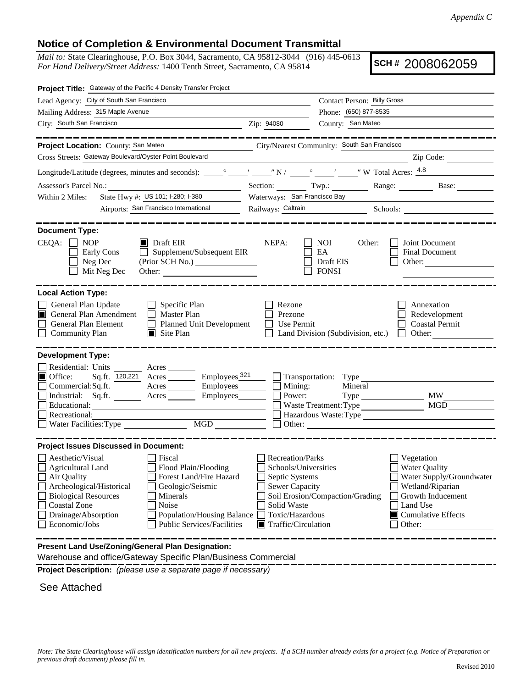## **Notice of Completion & Environmental Document Transmittal**

*Mail to:* State Clearinghouse, P.O. Box 3044, Sacramento, CA 95812-3044 (916) 445-0613 *For Hand Delivery/Street Address:* 1400 Tenth Street, Sacramento, CA 95814

**SCH #** 2008062059

| Project Title: Gateway of the Pacific 4 Density Transfer Project                                                                                                                                                                                                                                                                                                                                                 |                                                                                                                                              |                                                                                                                    |                                                                                                                                                                    |  |  |  |
|------------------------------------------------------------------------------------------------------------------------------------------------------------------------------------------------------------------------------------------------------------------------------------------------------------------------------------------------------------------------------------------------------------------|----------------------------------------------------------------------------------------------------------------------------------------------|--------------------------------------------------------------------------------------------------------------------|--------------------------------------------------------------------------------------------------------------------------------------------------------------------|--|--|--|
| Lead Agency: City of South San Francisco                                                                                                                                                                                                                                                                                                                                                                         |                                                                                                                                              | Contact Person: Billy Gross                                                                                        |                                                                                                                                                                    |  |  |  |
| Mailing Address: 315 Maple Avenue                                                                                                                                                                                                                                                                                                                                                                                |                                                                                                                                              | Phone: (650) 877-8535                                                                                              |                                                                                                                                                                    |  |  |  |
| City: South San Francisco<br><u> 1989 - Johann Barn, amerikansk politiker (</u>                                                                                                                                                                                                                                                                                                                                  | Zip: 94080                                                                                                                                   | County: San Mateo                                                                                                  |                                                                                                                                                                    |  |  |  |
| كالمستحسب كالمستنقصات                                                                                                                                                                                                                                                                                                                                                                                            |                                                                                                                                              |                                                                                                                    |                                                                                                                                                                    |  |  |  |
| Project Location: County: San Mateo                                                                                                                                                                                                                                                                                                                                                                              |                                                                                                                                              | City/Nearest Community: South San Francisco                                                                        |                                                                                                                                                                    |  |  |  |
| Cross Streets: Gateway Boulevard/Oyster Point Boulevard                                                                                                                                                                                                                                                                                                                                                          |                                                                                                                                              |                                                                                                                    | Zip Code:                                                                                                                                                          |  |  |  |
|                                                                                                                                                                                                                                                                                                                                                                                                                  |                                                                                                                                              |                                                                                                                    |                                                                                                                                                                    |  |  |  |
|                                                                                                                                                                                                                                                                                                                                                                                                                  |                                                                                                                                              |                                                                                                                    | Section: Twp.: Range: Base: Base:                                                                                                                                  |  |  |  |
| State Hwy #: US 101; I-280; I-380<br>Within 2 Miles:                                                                                                                                                                                                                                                                                                                                                             | Waterways: San Francisco Bay                                                                                                                 |                                                                                                                    |                                                                                                                                                                    |  |  |  |
| Airports: San Francisco International                                                                                                                                                                                                                                                                                                                                                                            |                                                                                                                                              |                                                                                                                    | Railways: Caltrain Schools: Caltrain Schools:                                                                                                                      |  |  |  |
| <b>Document Type:</b><br>$CEQA: \Box$<br><b>NOP</b><br>$\blacksquare$ Draft EIR<br>Supplement/Subsequent EIR<br>Early Cons<br>$\mathbf{1}$<br>Neg Dec<br>(Prior SCH No.)<br>Mit Neg Dec<br>Other:                                                                                                                                                                                                                | NEPA:                                                                                                                                        | NOI<br>Other:<br>EA<br>Draft EIS<br><b>FONSI</b>                                                                   | Joint Document<br>Final Document<br>Other:                                                                                                                         |  |  |  |
| <b>Local Action Type:</b><br>General Plan Update<br>$\Box$ Specific Plan<br>General Plan Amendment<br>$\Box$ Master Plan<br>General Plan Element<br>$\Box$ Planned Unit Development<br><b>Community Plan</b><br>$\Box$ Site Plan                                                                                                                                                                                 | Rezone<br>Prezone<br>Use Permit                                                                                                              | Land Division (Subdivision, etc.)                                                                                  | Annexation<br>Redevelopment<br><b>Coastal Permit</b><br>Other:<br>$\mathbf{1}$                                                                                     |  |  |  |
| <b>Development Type:</b><br>Residential: Units ________ Acres _______<br>Sq.ft. 120,221 Acres Employees 321<br>$\blacksquare$ Office:<br>Commercial:Sq.ft. ________ Acres __________ Employees_________ $\Box$<br>Acres Employees<br>Industrial: Sq.ft.<br>Educational:<br>Recreational:<br>Water Facilities: Type MGD                                                                                           | Mining:<br>Power:                                                                                                                            | $\Box$ Transportation: Type<br>Mineral<br>Waste Treatment: Type<br>Hazardous Waste: Type<br>Other: $\qquad \qquad$ | <b>MW</b><br>$\rm MGD$                                                                                                                                             |  |  |  |
| <b>Project Issues Discussed in Document:</b><br>Aesthetic/Visual<br>  Fiscal<br>$\Box$ Agricultural Land<br>Flood Plain/Flooding<br>Forest Land/Fire Hazard<br>Air Quality<br>Geologic/Seismic<br>Archeological/Historical<br><b>Biological Resources</b><br>Minerals<br><b>Coastal Zone</b><br>Noise<br>Drainage/Absorption<br><b>Population/Housing Balance</b><br>Economic/Jobs<br>Public Services/Facilities | Recreation/Parks<br>Schools/Universities<br>Septic Systems<br><b>Sewer Capacity</b><br>Solid Waste<br>Toxic/Hazardous<br>Traffic/Circulation | Soil Erosion/Compaction/Grading                                                                                    | Vegetation<br><b>Water Quality</b><br>Water Supply/Groundwater<br>Wetland/Riparian<br>Growth Inducement<br>Land Use<br>$\blacksquare$ Cumulative Effects<br>Other: |  |  |  |
| Present Land Use/Zoning/General Plan Designation:<br>Warehouse and office Cateway Casoific Dlan Duningen Commercial                                                                                                                                                                                                                                                                                              |                                                                                                                                              |                                                                                                                    |                                                                                                                                                                    |  |  |  |

Warehouse and office/Gateway Specific Plan/Business Commercial

**Project Description:** *(please use a separate page if necessary)*

See Attached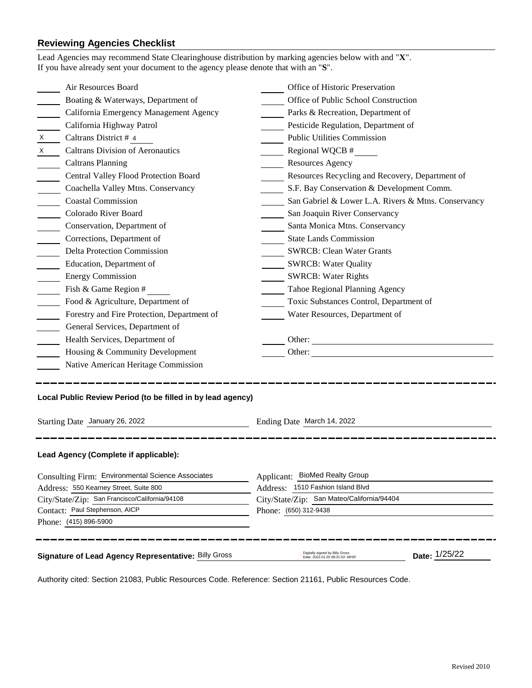## **Reviewing Agencies Checklist**

|                                                                                                                             | Lead Agencies may recommend State Clearinghouse distribution by marking agencies below with and "X".<br>If you have already sent your document to the agency please denote that with an "S". |                                                                      |               |  |  |
|-----------------------------------------------------------------------------------------------------------------------------|----------------------------------------------------------------------------------------------------------------------------------------------------------------------------------------------|----------------------------------------------------------------------|---------------|--|--|
|                                                                                                                             | Air Resources Board                                                                                                                                                                          | Office of Historic Preservation                                      |               |  |  |
|                                                                                                                             | Boating & Waterways, Department of                                                                                                                                                           | Office of Public School Construction                                 |               |  |  |
|                                                                                                                             | California Emergency Management Agency                                                                                                                                                       | Parks & Recreation, Department of                                    |               |  |  |
|                                                                                                                             | California Highway Patrol                                                                                                                                                                    | Pesticide Regulation, Department of                                  |               |  |  |
| $\boldsymbol{\mathsf{X}}$                                                                                                   | Caltrans District # 4                                                                                                                                                                        | <b>Public Utilities Commission</b>                                   |               |  |  |
| $\boldsymbol{X}$                                                                                                            | <b>Caltrans Division of Aeronautics</b>                                                                                                                                                      | Regional WQCB #                                                      |               |  |  |
|                                                                                                                             | <b>Caltrans Planning</b>                                                                                                                                                                     | Resources Agency                                                     |               |  |  |
|                                                                                                                             | Central Valley Flood Protection Board                                                                                                                                                        | Resources Recycling and Recovery, Department of                      |               |  |  |
|                                                                                                                             | Coachella Valley Mtns. Conservancy                                                                                                                                                           | S.F. Bay Conservation & Development Comm.                            |               |  |  |
|                                                                                                                             | <b>Coastal Commission</b>                                                                                                                                                                    | San Gabriel & Lower L.A. Rivers & Mtns. Conservancy                  |               |  |  |
| $\mathcal{L}^{\text{max}}$                                                                                                  | Colorado River Board                                                                                                                                                                         | San Joaquin River Conservancy                                        |               |  |  |
|                                                                                                                             | Conservation, Department of                                                                                                                                                                  | Santa Monica Mtns. Conservancy                                       |               |  |  |
|                                                                                                                             | Corrections, Department of                                                                                                                                                                   | <b>State Lands Commission</b>                                        |               |  |  |
|                                                                                                                             | <b>Delta Protection Commission</b>                                                                                                                                                           | <b>SWRCB: Clean Water Grants</b>                                     |               |  |  |
| $\frac{1}{2}$                                                                                                               | Education, Department of                                                                                                                                                                     | <b>SWRCB: Water Quality</b>                                          |               |  |  |
|                                                                                                                             | <b>Energy Commission</b>                                                                                                                                                                     | <b>SWRCB: Water Rights</b>                                           |               |  |  |
|                                                                                                                             | Fish & Game Region #                                                                                                                                                                         | Tahoe Regional Planning Agency                                       |               |  |  |
|                                                                                                                             | Food & Agriculture, Department of                                                                                                                                                            | Toxic Substances Control, Department of                              |               |  |  |
|                                                                                                                             | Forestry and Fire Protection, Department of                                                                                                                                                  | Water Resources, Department of                                       |               |  |  |
|                                                                                                                             | General Services, Department of                                                                                                                                                              |                                                                      |               |  |  |
|                                                                                                                             | Health Services, Department of                                                                                                                                                               |                                                                      |               |  |  |
|                                                                                                                             | Housing & Community Development                                                                                                                                                              |                                                                      |               |  |  |
|                                                                                                                             | Native American Heritage Commission                                                                                                                                                          |                                                                      |               |  |  |
| Local Public Review Period (to be filled in by lead agency)<br>Starting Date January 26, 2022<br>Ending Date March 14, 2022 |                                                                                                                                                                                              |                                                                      |               |  |  |
|                                                                                                                             | Lead Agency (Complete if applicable):                                                                                                                                                        |                                                                      |               |  |  |
| Consulting Firm: Environmental Science Associates                                                                           |                                                                                                                                                                                              | Applicant: BioMed Realty Group                                       |               |  |  |
| Address: 1510 Fashion Island Blvd<br>Address: 550 Kearney Street, Suite 800                                                 |                                                                                                                                                                                              |                                                                      |               |  |  |
| City/State/Zip: San Francisco/California/94108                                                                              |                                                                                                                                                                                              | City/State/Zip: San Mateo/California/94404                           |               |  |  |
|                                                                                                                             | Contact: Paul Stephenson, AICP                                                                                                                                                               | Phone: (650) 312-9438                                                |               |  |  |
|                                                                                                                             | Phone: (415) 896-5900                                                                                                                                                                        |                                                                      |               |  |  |
|                                                                                                                             | Signature of Lead Agency Representative: Billy Gross                                                                                                                                         | Digitally signed by Billy Gross<br>Date: 2022.01.20 08:31:53 -08'00' | Date: 1/25/22 |  |  |

Authority cited: Section 21083, Public Resources Code. Reference: Section 21161, Public Resources Code.